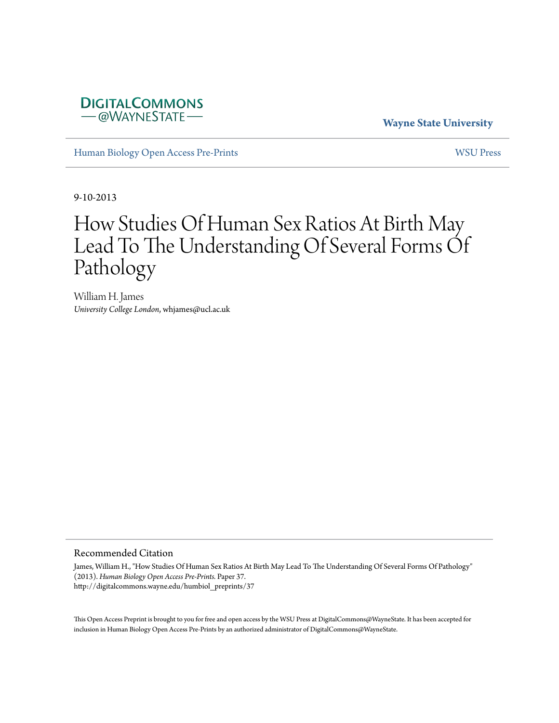# **DIGITALCOMMONS** -@WAYNESTATE-

# **Wayne State University**

[Human Biology Open Access Pre-Prints](http://digitalcommons.wayne.edu/humbiol_preprints) [WSU Press](http://digitalcommons.wayne.edu/wsupress)

9-10-2013

# How Studies Of Human Sex Ratios At Birth May Lead To The Understanding Of Several Forms Of Pathology

William H. James *University College London*, whjames@ucl.ac.uk

#### Recommended Citation

James, William H., "How Studies Of Human Sex Ratios At Birth May Lead To The Understanding Of Several Forms Of Pathology" (2013). *Human Biology Open Access Pre-Prints.* Paper 37. http://digitalcommons.wayne.edu/humbiol\_preprints/37

This Open Access Preprint is brought to you for free and open access by the WSU Press at DigitalCommons@WayneState. It has been accepted for inclusion in Human Biology Open Access Pre-Prints by an authorized administrator of DigitalCommons@WayneState.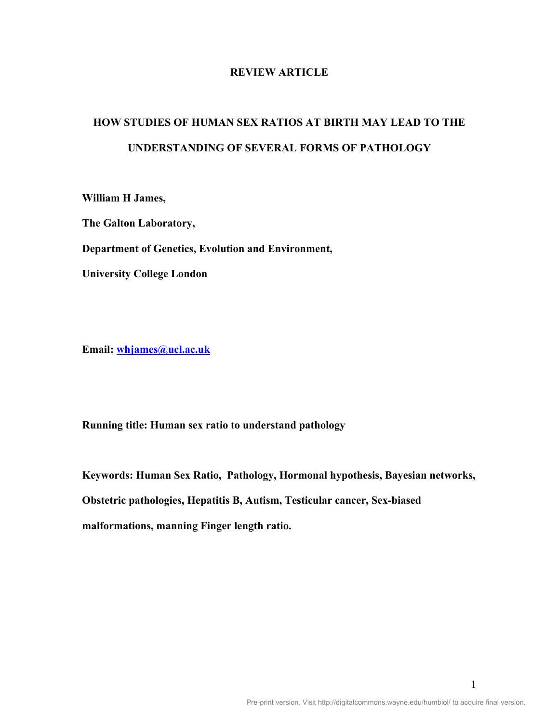# **REVIEW ARTICLE**

# **HOW STUDIES OF HUMAN SEX RATIOS AT BIRTH MAY LEAD TO THE UNDERSTANDING OF SEVERAL FORMS OF PATHOLOGY**

**William H James,**

**The Galton Laboratory,**

**Department of Genetics, Evolution and Environment,**

**University College London**

**Email: whjames@ucl.ac.uk**

**Running title: Human sex ratio to understand pathology**

**Keywords: Human Sex Ratio, Pathology, Hormonal hypothesis, Bayesian networks, Obstetric pathologies, Hepatitis B, Autism, Testicular cancer, Sex-biased malformations, manning Finger length ratio.**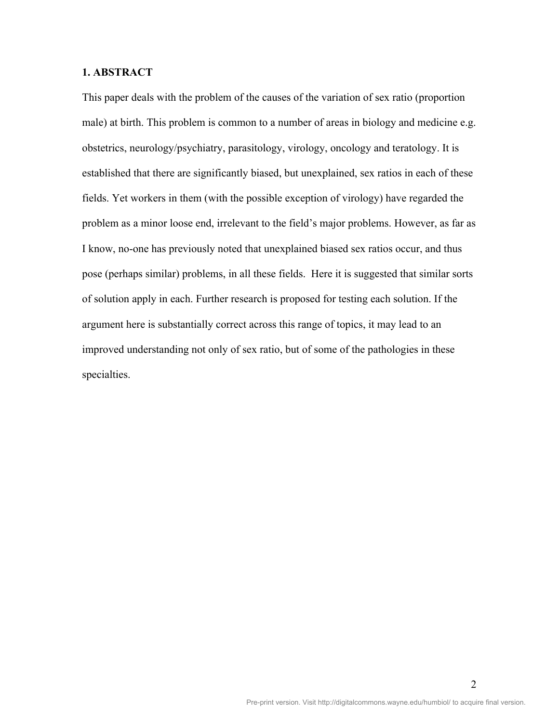## **1. ABSTRACT**

This paper deals with the problem of the causes of the variation of sex ratio (proportion male) at birth. This problem is common to a number of areas in biology and medicine e.g. obstetrics, neurology/psychiatry, parasitology, virology, oncology and teratology. It is established that there are significantly biased, but unexplained, sex ratios in each of these fields. Yet workers in them (with the possible exception of virology) have regarded the problem as a minor loose end, irrelevant to the field's major problems. However, as far as I know, no-one has previously noted that unexplained biased sex ratios occur, and thus pose (perhaps similar) problems, in all these fields. Here it is suggested that similar sorts of solution apply in each. Further research is proposed for testing each solution. If the argument here is substantially correct across this range of topics, it may lead to an improved understanding not only of sex ratio, but of some of the pathologies in these specialties.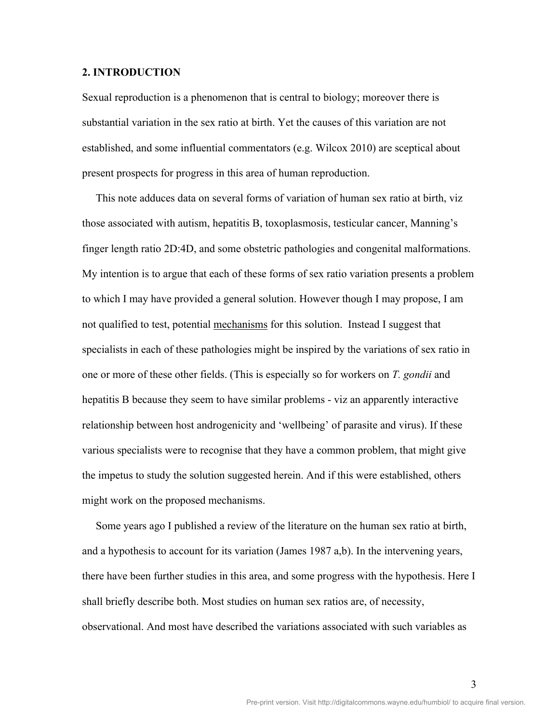#### **2. INTRODUCTION**

Sexual reproduction is a phenomenon that is central to biology; moreover there is substantial variation in the sex ratio at birth. Yet the causes of this variation are not established, and some influential commentators (e.g. Wilcox 2010) are sceptical about present prospects for progress in this area of human reproduction.

 This note adduces data on several forms of variation of human sex ratio at birth, viz those associated with autism, hepatitis B, toxoplasmosis, testicular cancer, Manning's finger length ratio 2D:4D, and some obstetric pathologies and congenital malformations. My intention is to argue that each of these forms of sex ratio variation presents a problem to which I may have provided a general solution. However though I may propose, I am not qualified to test, potential mechanisms for this solution. Instead I suggest that specialists in each of these pathologies might be inspired by the variations of sex ratio in one or more of these other fields. (This is especially so for workers on *T. gondii* and hepatitis B because they seem to have similar problems - viz an apparently interactive relationship between host androgenicity and 'wellbeing' of parasite and virus). If these various specialists were to recognise that they have a common problem, that might give the impetus to study the solution suggested herein. And if this were established, others might work on the proposed mechanisms.

 Some years ago I published a review of the literature on the human sex ratio at birth, and a hypothesis to account for its variation (James 1987 a,b). In the intervening years, there have been further studies in this area, and some progress with the hypothesis. Here I shall briefly describe both. Most studies on human sex ratios are, of necessity, observational. And most have described the variations associated with such variables as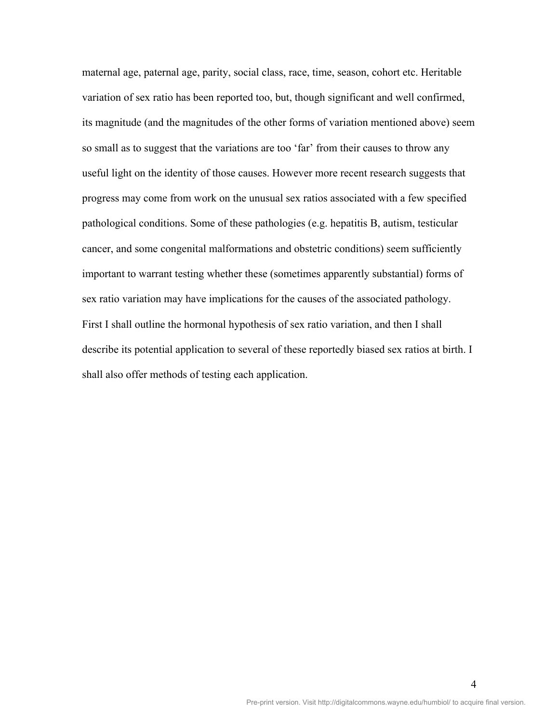maternal age, paternal age, parity, social class, race, time, season, cohort etc. Heritable variation of sex ratio has been reported too, but, though significant and well confirmed, its magnitude (and the magnitudes of the other forms of variation mentioned above) seem so small as to suggest that the variations are too 'far' from their causes to throw any useful light on the identity of those causes. However more recent research suggests that progress may come from work on the unusual sex ratios associated with a few specified pathological conditions. Some of these pathologies (e.g. hepatitis B, autism, testicular cancer, and some congenital malformations and obstetric conditions) seem sufficiently important to warrant testing whether these (sometimes apparently substantial) forms of sex ratio variation may have implications for the causes of the associated pathology. First I shall outline the hormonal hypothesis of sex ratio variation, and then I shall describe its potential application to several of these reportedly biased sex ratios at birth. I shall also offer methods of testing each application.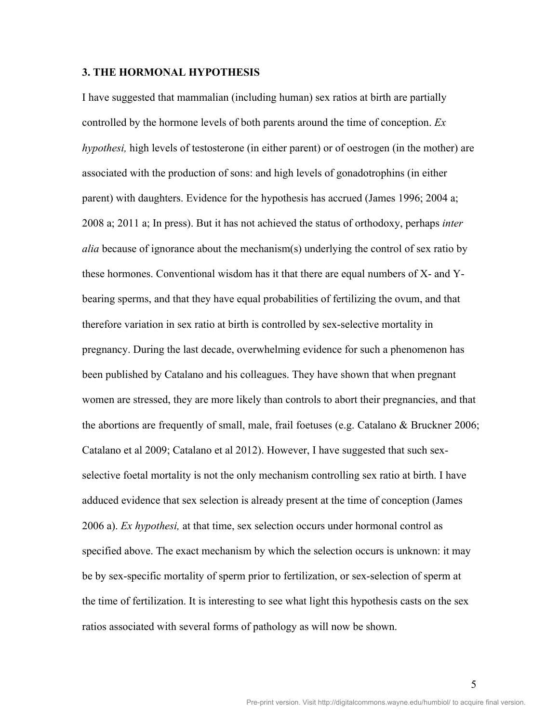#### **3. THE HORMONAL HYPOTHESIS**

I have suggested that mammalian (including human) sex ratios at birth are partially controlled by the hormone levels of both parents around the time of conception. *Ex hypothesi,* high levels of testosterone (in either parent) or of oestrogen (in the mother) are associated with the production of sons: and high levels of gonadotrophins (in either parent) with daughters. Evidence for the hypothesis has accrued (James 1996; 2004 a; 2008 a; 2011 a; In press). But it has not achieved the status of orthodoxy, perhaps *inter alia* because of ignorance about the mechanism(s) underlying the control of sex ratio by these hormones. Conventional wisdom has it that there are equal numbers of X- and Ybearing sperms, and that they have equal probabilities of fertilizing the ovum, and that therefore variation in sex ratio at birth is controlled by sex-selective mortality in pregnancy. During the last decade, overwhelming evidence for such a phenomenon has been published by Catalano and his colleagues. They have shown that when pregnant women are stressed, they are more likely than controls to abort their pregnancies, and that the abortions are frequently of small, male, frail foetuses (e.g. Catalano & Bruckner 2006; Catalano et al 2009; Catalano et al 2012). However, I have suggested that such sexselective foetal mortality is not the only mechanism controlling sex ratio at birth. I have adduced evidence that sex selection is already present at the time of conception (James 2006 a). *Ex hypothesi,* at that time, sex selection occurs under hormonal control as specified above. The exact mechanism by which the selection occurs is unknown: it may be by sex-specific mortality of sperm prior to fertilization, or sex-selection of sperm at the time of fertilization. It is interesting to see what light this hypothesis casts on the sex ratios associated with several forms of pathology as will now be shown.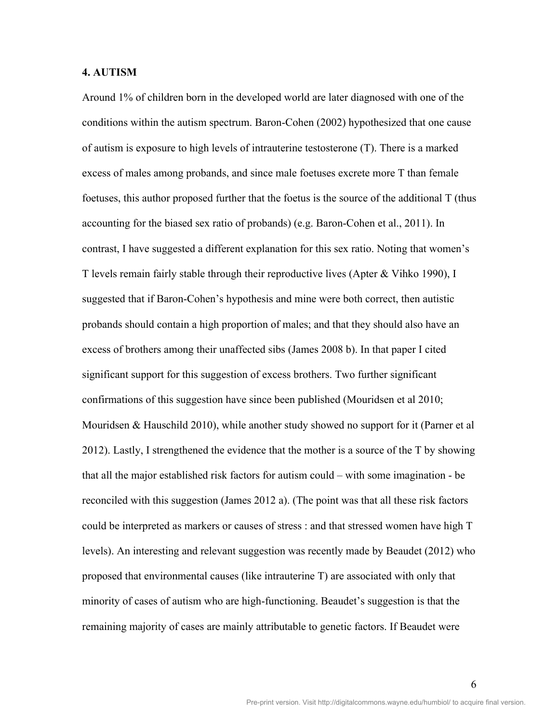#### **4. AUTISM**

Around 1% of children born in the developed world are later diagnosed with one of the conditions within the autism spectrum. Baron-Cohen (2002) hypothesized that one cause of autism is exposure to high levels of intrauterine testosterone (T). There is a marked excess of males among probands, and since male foetuses excrete more T than female foetuses, this author proposed further that the foetus is the source of the additional T (thus accounting for the biased sex ratio of probands) (e.g. Baron-Cohen et al., 2011). In contrast, I have suggested a different explanation for this sex ratio. Noting that women's T levels remain fairly stable through their reproductive lives (Apter & Vihko 1990), I suggested that if Baron-Cohen's hypothesis and mine were both correct, then autistic probands should contain a high proportion of males; and that they should also have an excess of brothers among their unaffected sibs (James 2008 b). In that paper I cited significant support for this suggestion of excess brothers. Two further significant confirmations of this suggestion have since been published (Mouridsen et al 2010; Mouridsen & Hauschild 2010), while another study showed no support for it (Parner et al 2012). Lastly, I strengthened the evidence that the mother is a source of the T by showing that all the major established risk factors for autism could – with some imagination - be reconciled with this suggestion (James 2012 a). (The point was that all these risk factors could be interpreted as markers or causes of stress : and that stressed women have high T levels). An interesting and relevant suggestion was recently made by Beaudet (2012) who proposed that environmental causes (like intrauterine T) are associated with only that minority of cases of autism who are high-functioning. Beaudet's suggestion is that the remaining majority of cases are mainly attributable to genetic factors. If Beaudet were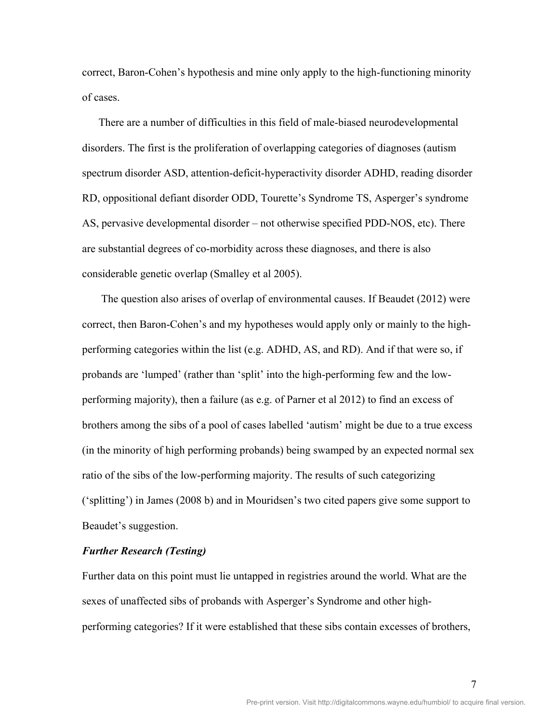correct, Baron-Cohen's hypothesis and mine only apply to the high-functioning minority of cases.

There are a number of difficulties in this field of male-biased neurodevelopmental disorders. The first is the proliferation of overlapping categories of diagnoses (autism spectrum disorder ASD, attention-deficit-hyperactivity disorder ADHD, reading disorder RD, oppositional defiant disorder ODD, Tourette's Syndrome TS, Asperger's syndrome AS, pervasive developmental disorder – not otherwise specified PDD-NOS, etc). There are substantial degrees of co-morbidity across these diagnoses, and there is also considerable genetic overlap (Smalley et al 2005).

 The question also arises of overlap of environmental causes. If Beaudet (2012) were correct, then Baron-Cohen's and my hypotheses would apply only or mainly to the highperforming categories within the list (e.g. ADHD, AS, and RD). And if that were so, if probands are 'lumped' (rather than 'split' into the high-performing few and the lowperforming majority), then a failure (as e.g. of Parner et al 2012) to find an excess of brothers among the sibs of a pool of cases labelled 'autism' might be due to a true excess (in the minority of high performing probands) being swamped by an expected normal sex ratio of the sibs of the low-performing majority. The results of such categorizing ('splitting') in James (2008 b) and in Mouridsen's two cited papers give some support to Beaudet's suggestion.

#### *Further Research (Testing)*

Further data on this point must lie untapped in registries around the world. What are the sexes of unaffected sibs of probands with Asperger's Syndrome and other highperforming categories? If it were established that these sibs contain excesses of brothers,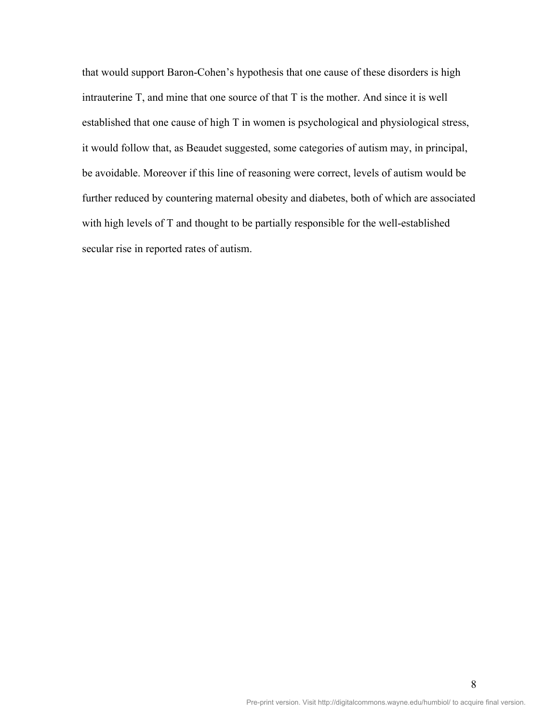that would support Baron-Cohen's hypothesis that one cause of these disorders is high intrauterine T, and mine that one source of that T is the mother. And since it is well established that one cause of high T in women is psychological and physiological stress, it would follow that, as Beaudet suggested, some categories of autism may, in principal, be avoidable. Moreover if this line of reasoning were correct, levels of autism would be further reduced by countering maternal obesity and diabetes, both of which are associated with high levels of T and thought to be partially responsible for the well-established secular rise in reported rates of autism.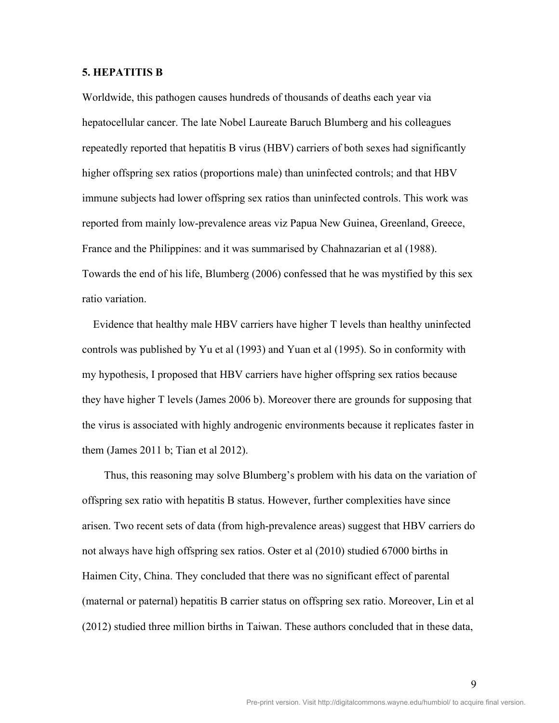# **5. HEPATITIS B**

Worldwide, this pathogen causes hundreds of thousands of deaths each year via hepatocellular cancer. The late Nobel Laureate Baruch Blumberg and his colleagues repeatedly reported that hepatitis B virus (HBV) carriers of both sexes had significantly higher offspring sex ratios (proportions male) than uninfected controls; and that HBV immune subjects had lower offspring sex ratios than uninfected controls. This work was reported from mainly low-prevalence areas viz Papua New Guinea, Greenland, Greece, France and the Philippines: and it was summarised by Chahnazarian et al (1988). Towards the end of his life, Blumberg (2006) confessed that he was mystified by this sex ratio variation.

 Evidence that healthy male HBV carriers have higher T levels than healthy uninfected controls was published by Yu et al (1993) and Yuan et al (1995). So in conformity with my hypothesis, I proposed that HBV carriers have higher offspring sex ratios because they have higher T levels (James 2006 b). Moreover there are grounds for supposing that the virus is associated with highly androgenic environments because it replicates faster in them (James 2011 b; Tian et al 2012).

Thus, this reasoning may solve Blumberg's problem with his data on the variation of offspring sex ratio with hepatitis B status. However, further complexities have since arisen. Two recent sets of data (from high-prevalence areas) suggest that HBV carriers do not always have high offspring sex ratios. Oster et al (2010) studied 67000 births in Haimen City, China. They concluded that there was no significant effect of parental (maternal or paternal) hepatitis B carrier status on offspring sex ratio. Moreover, Lin et al (2012) studied three million births in Taiwan. These authors concluded that in these data,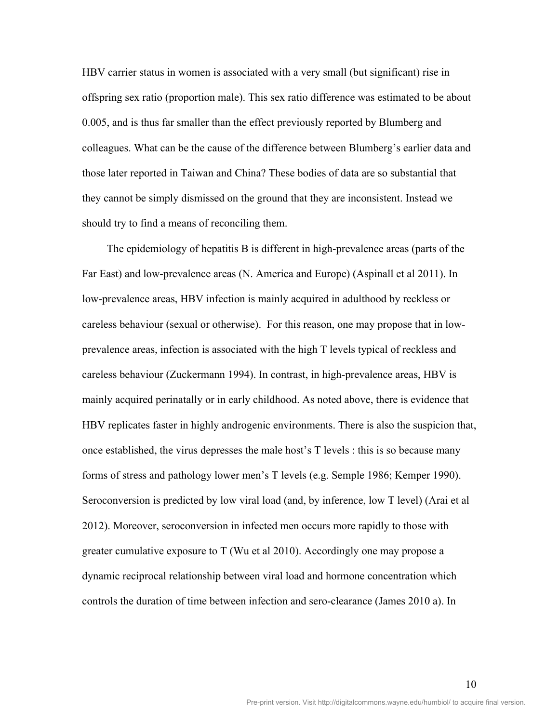HBV carrier status in women is associated with a very small (but significant) rise in offspring sex ratio (proportion male). This sex ratio difference was estimated to be about 0.005, and is thus far smaller than the effect previously reported by Blumberg and colleagues. What can be the cause of the difference between Blumberg's earlier data and those later reported in Taiwan and China? These bodies of data are so substantial that they cannot be simply dismissed on the ground that they are inconsistent. Instead we should try to find a means of reconciling them.

 The epidemiology of hepatitis B is different in high-prevalence areas (parts of the Far East) and low-prevalence areas (N. America and Europe) (Aspinall et al 2011). In low-prevalence areas, HBV infection is mainly acquired in adulthood by reckless or careless behaviour (sexual or otherwise). For this reason, one may propose that in lowprevalence areas, infection is associated with the high T levels typical of reckless and careless behaviour (Zuckermann 1994). In contrast, in high-prevalence areas, HBV is mainly acquired perinatally or in early childhood. As noted above, there is evidence that HBV replicates faster in highly androgenic environments. There is also the suspicion that, once established, the virus depresses the male host's T levels : this is so because many forms of stress and pathology lower men's T levels (e.g. Semple 1986; Kemper 1990). Seroconversion is predicted by low viral load (and, by inference, low T level) (Arai et al 2012). Moreover, seroconversion in infected men occurs more rapidly to those with greater cumulative exposure to T (Wu et al 2010). Accordingly one may propose a dynamic reciprocal relationship between viral load and hormone concentration which controls the duration of time between infection and sero-clearance (James 2010 a). In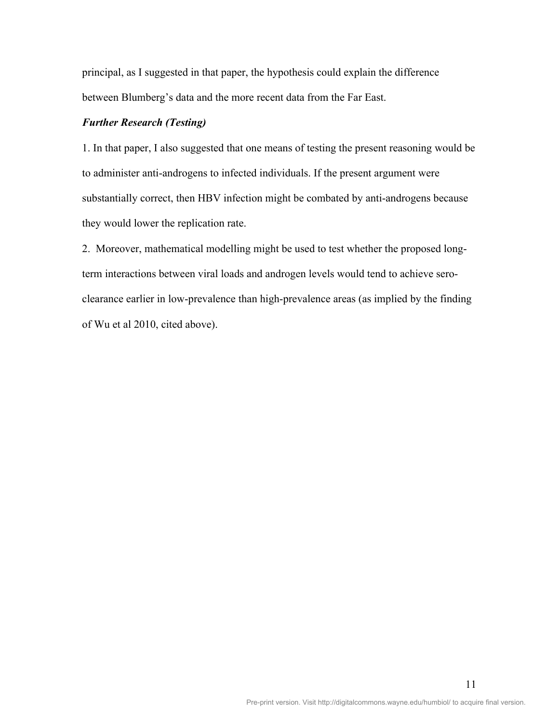principal, as I suggested in that paper, the hypothesis could explain the difference between Blumberg's data and the more recent data from the Far East.

# *Further Research (Testing)*

1. In that paper, I also suggested that one means of testing the present reasoning would be to administer anti-androgens to infected individuals. If the present argument were substantially correct, then HBV infection might be combated by anti-androgens because they would lower the replication rate.

2. Moreover, mathematical modelling might be used to test whether the proposed longterm interactions between viral loads and androgen levels would tend to achieve seroclearance earlier in low-prevalence than high-prevalence areas (as implied by the finding of Wu et al 2010, cited above).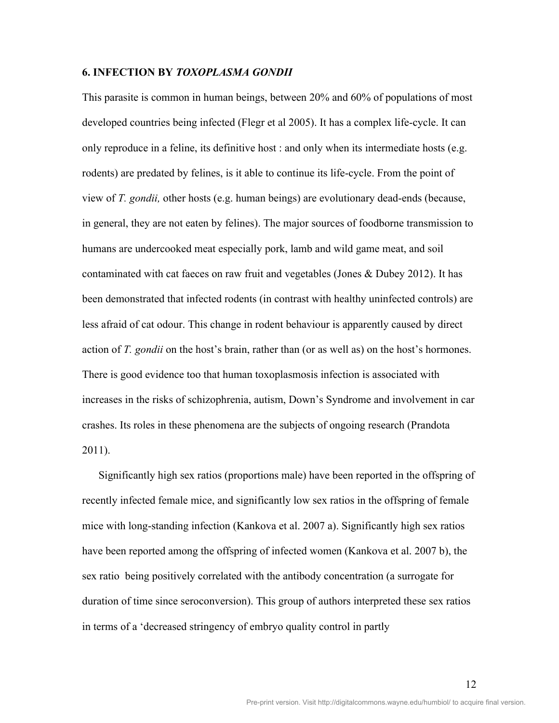#### **6. INFECTION BY** *TOXOPLASMA GONDII*

This parasite is common in human beings, between 20% and 60% of populations of most developed countries being infected (Flegr et al 2005). It has a complex life-cycle. It can only reproduce in a feline, its definitive host : and only when its intermediate hosts (e.g. rodents) are predated by felines, is it able to continue its life-cycle. From the point of view of *T. gondii,* other hosts (e.g. human beings) are evolutionary dead-ends (because, in general, they are not eaten by felines). The major sources of foodborne transmission to humans are undercooked meat especially pork, lamb and wild game meat, and soil contaminated with cat faeces on raw fruit and vegetables (Jones & Dubey 2012). It has been demonstrated that infected rodents (in contrast with healthy uninfected controls) are less afraid of cat odour. This change in rodent behaviour is apparently caused by direct action of *T. gondii* on the host's brain, rather than (or as well as) on the host's hormones. There is good evidence too that human toxoplasmosis infection is associated with increases in the risks of schizophrenia, autism, Down's Syndrome and involvement in car crashes. Its roles in these phenomena are the subjects of ongoing research (Prandota 2011).

 Significantly high sex ratios (proportions male) have been reported in the offspring of recently infected female mice, and significantly low sex ratios in the offspring of female mice with long-standing infection (Kankova et al. 2007 a). Significantly high sex ratios have been reported among the offspring of infected women (Kankova et al. 2007 b), the sex ratio being positively correlated with the antibody concentration (a surrogate for duration of time since seroconversion). This group of authors interpreted these sex ratios in terms of a 'decreased stringency of embryo quality control in partly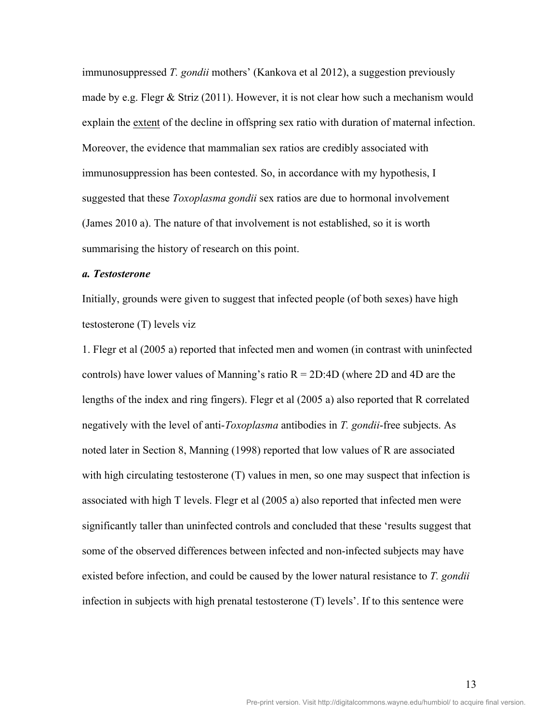immunosuppressed *T. gondii* mothers' (Kankova et al 2012), a suggestion previously made by e.g. Flegr & Striz  $(2011)$ . However, it is not clear how such a mechanism would explain the extent of the decline in offspring sex ratio with duration of maternal infection. Moreover, the evidence that mammalian sex ratios are credibly associated with immunosuppression has been contested. So, in accordance with my hypothesis, I suggested that these *Toxoplasma gondii* sex ratios are due to hormonal involvement (James 2010 a). The nature of that involvement is not established, so it is worth summarising the history of research on this point.

#### *a. Testosterone*

Initially, grounds were given to suggest that infected people (of both sexes) have high testosterone (T) levels viz

1. Flegr et al (2005 a) reported that infected men and women (in contrast with uninfected controls) have lower values of Manning's ratio  $R = 2D:4D$  (where 2D and 4D are the lengths of the index and ring fingers). Flegr et al (2005 a) also reported that R correlated negatively with the level of anti-*Toxoplasma* antibodies in *T. gondii*-free subjects. As noted later in Section 8, Manning (1998) reported that low values of R are associated with high circulating testosterone (T) values in men, so one may suspect that infection is associated with high T levels. Flegr et al (2005 a) also reported that infected men were significantly taller than uninfected controls and concluded that these 'results suggest that some of the observed differences between infected and non-infected subjects may have existed before infection, and could be caused by the lower natural resistance to *T. gondii*  infection in subjects with high prenatal testosterone (T) levels'. If to this sentence were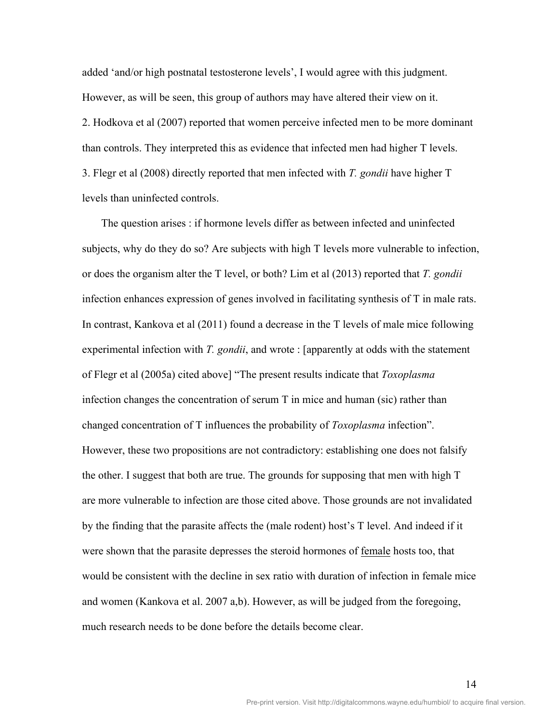added 'and/or high postnatal testosterone levels', I would agree with this judgment. However, as will be seen, this group of authors may have altered their view on it. 2. Hodkova et al (2007) reported that women perceive infected men to be more dominant than controls. They interpreted this as evidence that infected men had higher T levels. 3. Flegr et al (2008) directly reported that men infected with *T. gondii* have higher T levels than uninfected controls.

The question arises : if hormone levels differ as between infected and uninfected subjects, why do they do so? Are subjects with high T levels more vulnerable to infection, or does the organism alter the T level, or both? Lim et al (2013) reported that *T. gondii*  infection enhances expression of genes involved in facilitating synthesis of T in male rats. In contrast, Kankova et al (2011) found a decrease in the T levels of male mice following experimental infection with *T. gondii*, and wrote : [apparently at odds with the statement of Flegr et al (2005a) cited above] "The present results indicate that *Toxoplasma* infection changes the concentration of serum T in mice and human (sic) rather than changed concentration of T influences the probability of *Toxoplasma* infection". However, these two propositions are not contradictory: establishing one does not falsify the other. I suggest that both are true. The grounds for supposing that men with high T are more vulnerable to infection are those cited above. Those grounds are not invalidated by the finding that the parasite affects the (male rodent) host's T level. And indeed if it were shown that the parasite depresses the steroid hormones of female hosts too, that would be consistent with the decline in sex ratio with duration of infection in female mice and women (Kankova et al. 2007 a,b). However, as will be judged from the foregoing, much research needs to be done before the details become clear.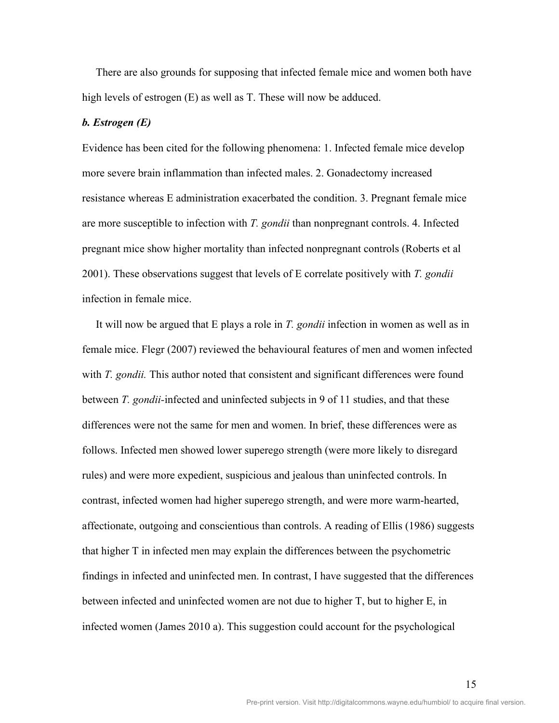There are also grounds for supposing that infected female mice and women both have high levels of estrogen (E) as well as T. These will now be adduced.

#### *b. Estrogen (E)*

Evidence has been cited for the following phenomena: 1. Infected female mice develop more severe brain inflammation than infected males. 2. Gonadectomy increased resistance whereas E administration exacerbated the condition. 3. Pregnant female mice are more susceptible to infection with *T. gondii* than nonpregnant controls. 4. Infected pregnant mice show higher mortality than infected nonpregnant controls (Roberts et al 2001). These observations suggest that levels of E correlate positively with *T. gondii*  infection in female mice.

 It will now be argued that E plays a role in *T. gondii* infection in women as well as in female mice. Flegr (2007) reviewed the behavioural features of men and women infected with *T. gondii*. This author noted that consistent and significant differences were found between *T. gondii-*infected and uninfected subjects in 9 of 11 studies, and that these differences were not the same for men and women. In brief, these differences were as follows. Infected men showed lower superego strength (were more likely to disregard rules) and were more expedient, suspicious and jealous than uninfected controls. In contrast, infected women had higher superego strength, and were more warm-hearted, affectionate, outgoing and conscientious than controls. A reading of Ellis (1986) suggests that higher T in infected men may explain the differences between the psychometric findings in infected and uninfected men. In contrast, I have suggested that the differences between infected and uninfected women are not due to higher T, but to higher E, in infected women (James 2010 a). This suggestion could account for the psychological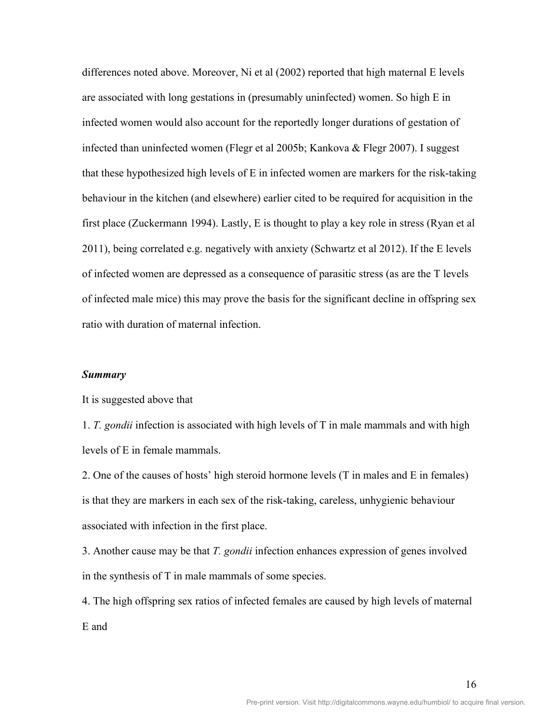differences noted above. Moreover, Ni et al (2002) reported that high maternal E levels are associated with long gestations in (presumably uninfected) women. So high E in infected women would also account for the reportedly longer durations of gestation of infected than uninfected women (Flegr et al 2005b; Kankova & Flegr 2007). I suggest that these hypothesized high levels of E in infected women are markers for the risk-taking behaviour in the kitchen (and elsewhere) earlier cited to be required for acquisition in the first place (Zuckermann 1994). Lastly, E is thought to play a key role in stress (Ryan et al 2011), being correlated e.g. negatively with anxiety (Schwartz et al 2012). If the E levels of infected women are depressed as a consequence of parasitic stress (as are the T levels of infected male mice) this may prove the basis for the significant decline in offspring sex ratio with duration of maternal infection.

#### *Summary*

It is suggested above that

1. *T. gondii* infection is associated with high levels of T in male mammals and with high levels of E in female mammals.

2. One of the causes of hosts' high steroid hormone levels (T in males and E in females) is that they are markers in each sex of the risk-taking, careless, unhygienic behaviour associated with infection in the first place.

3. Another cause may be that *T. gondii* infection enhances expression of genes involved in the synthesis of T in male mammals of some species.

4. The high offspring sex ratios of infected females are caused by high levels of maternal E and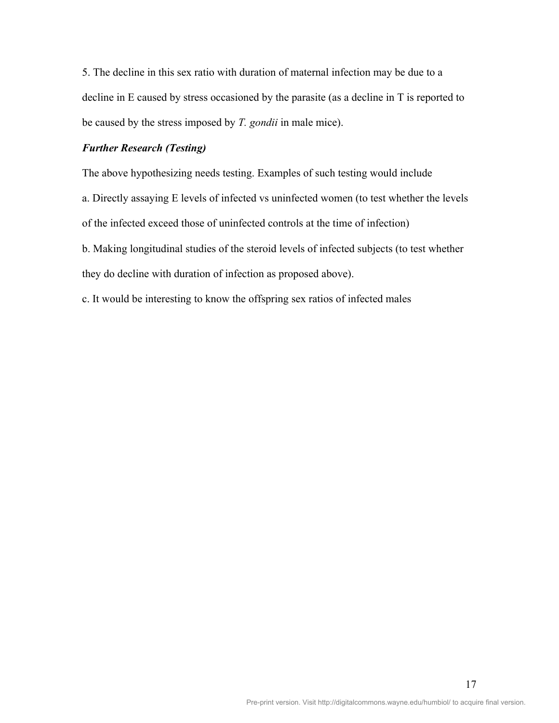5. The decline in this sex ratio with duration of maternal infection may be due to a decline in E caused by stress occasioned by the parasite (as a decline in T is reported to be caused by the stress imposed by *T. gondii* in male mice).

# *Further Research (Testing)*

The above hypothesizing needs testing. Examples of such testing would include

a. Directly assaying E levels of infected vs uninfected women (to test whether the levels

of the infected exceed those of uninfected controls at the time of infection)

b. Making longitudinal studies of the steroid levels of infected subjects (to test whether they do decline with duration of infection as proposed above).

c. It would be interesting to know the offspring sex ratios of infected males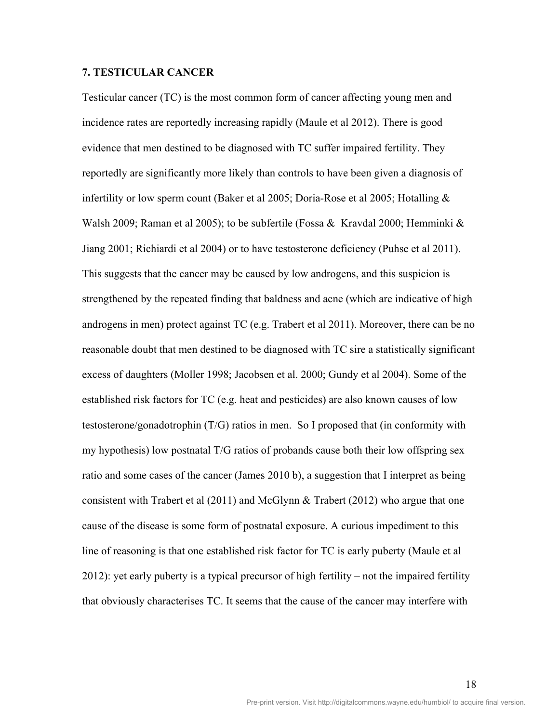# **7. TESTICULAR CANCER**

Testicular cancer (TC) is the most common form of cancer affecting young men and incidence rates are reportedly increasing rapidly (Maule et al 2012). There is good evidence that men destined to be diagnosed with TC suffer impaired fertility. They reportedly are significantly more likely than controls to have been given a diagnosis of infertility or low sperm count (Baker et al 2005; Doria-Rose et al 2005; Hotalling & Walsh 2009; Raman et al 2005); to be subfertile (Fossa & Kravdal 2000; Hemminki & Jiang 2001; Richiardi et al 2004) or to have testosterone deficiency (Puhse et al 2011). This suggests that the cancer may be caused by low androgens, and this suspicion is strengthened by the repeated finding that baldness and acne (which are indicative of high androgens in men) protect against TC (e.g. Trabert et al 2011). Moreover, there can be no reasonable doubt that men destined to be diagnosed with TC sire a statistically significant excess of daughters (Moller 1998; Jacobsen et al. 2000; Gundy et al 2004). Some of the established risk factors for TC (e.g. heat and pesticides) are also known causes of low testosterone/gonadotrophin (T/G) ratios in men. So I proposed that (in conformity with my hypothesis) low postnatal T/G ratios of probands cause both their low offspring sex ratio and some cases of the cancer (James 2010 b), a suggestion that I interpret as being consistent with Trabert et al (2011) and McGlynn & Trabert (2012) who argue that one cause of the disease is some form of postnatal exposure. A curious impediment to this line of reasoning is that one established risk factor for TC is early puberty (Maule et al 2012): yet early puberty is a typical precursor of high fertility – not the impaired fertility that obviously characterises TC. It seems that the cause of the cancer may interfere with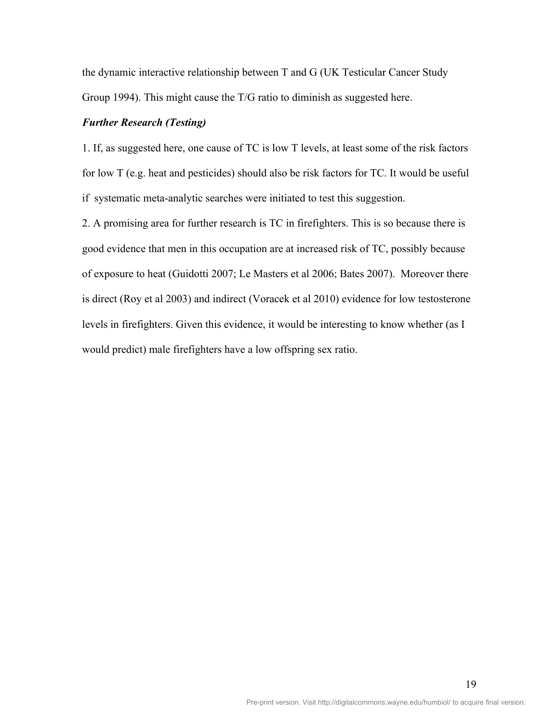the dynamic interactive relationship between T and G (UK Testicular Cancer Study Group 1994). This might cause the T/G ratio to diminish as suggested here.

# *Further Research (Testing)*

1. If, as suggested here, one cause of TC is low T levels, at least some of the risk factors for low T (e.g. heat and pesticides) should also be risk factors for TC. It would be useful if systematic meta-analytic searches were initiated to test this suggestion.

2. A promising area for further research is TC in firefighters. This is so because there is good evidence that men in this occupation are at increased risk of TC, possibly because of exposure to heat (Guidotti 2007; Le Masters et al 2006; Bates 2007). Moreover there is direct (Roy et al 2003) and indirect (Voracek et al 2010) evidence for low testosterone levels in firefighters. Given this evidence, it would be interesting to know whether (as I would predict) male firefighters have a low offspring sex ratio.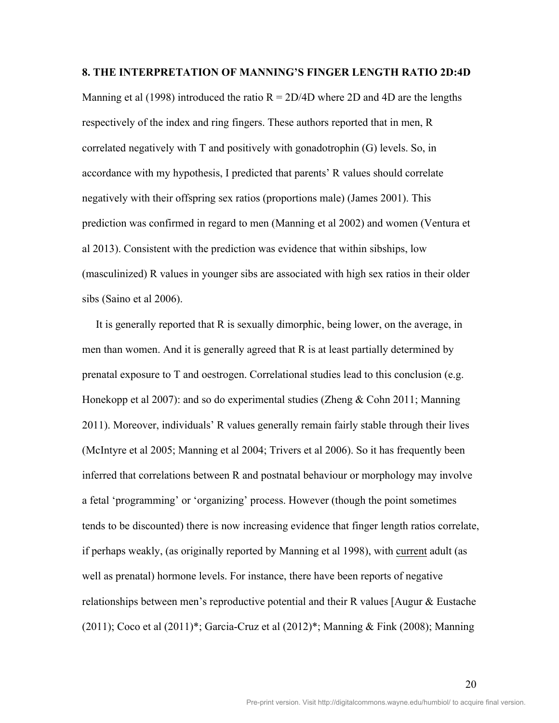#### **8. THE INTERPRETATION OF MANNING'S FINGER LENGTH RATIO 2D:4D**

Manning et al (1998) introduced the ratio  $R = 2D/4D$  where 2D and 4D are the lengths respectively of the index and ring fingers. These authors reported that in men, R correlated negatively with T and positively with gonadotrophin (G) levels. So, in accordance with my hypothesis, I predicted that parents' R values should correlate negatively with their offspring sex ratios (proportions male) (James 2001). This prediction was confirmed in regard to men (Manning et al 2002) and women (Ventura et al 2013). Consistent with the prediction was evidence that within sibships, low (masculinized) R values in younger sibs are associated with high sex ratios in their older sibs (Saino et al 2006).

 It is generally reported that R is sexually dimorphic, being lower, on the average, in men than women. And it is generally agreed that R is at least partially determined by prenatal exposure to T and oestrogen. Correlational studies lead to this conclusion (e.g. Honekopp et al 2007): and so do experimental studies (Zheng & Cohn 2011; Manning 2011). Moreover, individuals' R values generally remain fairly stable through their lives (McIntyre et al 2005; Manning et al 2004; Trivers et al 2006). So it has frequently been inferred that correlations between R and postnatal behaviour or morphology may involve a fetal 'programming' or 'organizing' process. However (though the point sometimes tends to be discounted) there is now increasing evidence that finger length ratios correlate, if perhaps weakly, (as originally reported by Manning et al 1998), with current adult (as well as prenatal) hormone levels. For instance, there have been reports of negative relationships between men's reproductive potential and their R values [Augur  $\&$  Eustache (2011); Coco et al (2011)\*; Garcia-Cruz et al (2012)\*; Manning & Fink (2008); Manning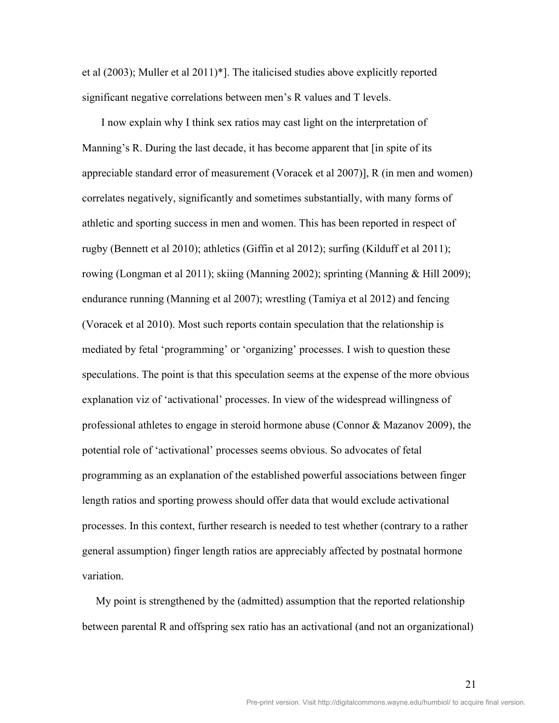et al (2003); Muller et al 2011)\*]. The italicised studies above explicitly reported significant negative correlations between men's R values and T levels.

 I now explain why I think sex ratios may cast light on the interpretation of Manning's R. During the last decade, it has become apparent that  $\overline{\phantom{a}}$  in spite of its appreciable standard error of measurement (Voracek et al 2007)], R (in men and women) correlates negatively, significantly and sometimes substantially, with many forms of athletic and sporting success in men and women. This has been reported in respect of rugby (Bennett et al 2010); athletics (Giffin et al 2012); surfing (Kilduff et al 2011); rowing (Longman et al 2011); skiing (Manning 2002); sprinting (Manning & Hill 2009); endurance running (Manning et al 2007); wrestling (Tamiya et al 2012) and fencing (Voracek et al 2010). Most such reports contain speculation that the relationship is mediated by fetal 'programming' or 'organizing' processes. I wish to question these speculations. The point is that this speculation seems at the expense of the more obvious explanation viz of 'activational' processes. In view of the widespread willingness of professional athletes to engage in steroid hormone abuse (Connor & Mazanov 2009), the potential role of 'activational' processes seems obvious. So advocates of fetal programming as an explanation of the established powerful associations between finger length ratios and sporting prowess should offer data that would exclude activational processes. In this context, further research is needed to test whether (contrary to a rather general assumption) finger length ratios are appreciably affected by postnatal hormone variation.

 My point is strengthened by the (admitted) assumption that the reported relationship between parental R and offspring sex ratio has an activational (and not an organizational)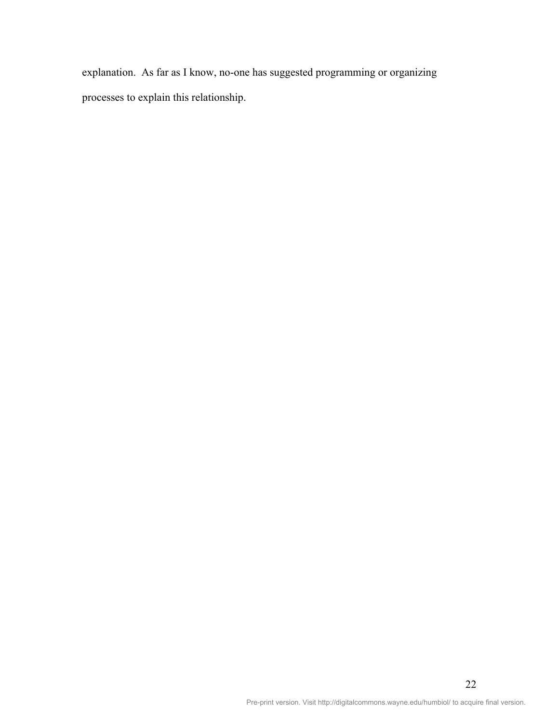explanation. As far as I know, no-one has suggested programming or organizing processes to explain this relationship.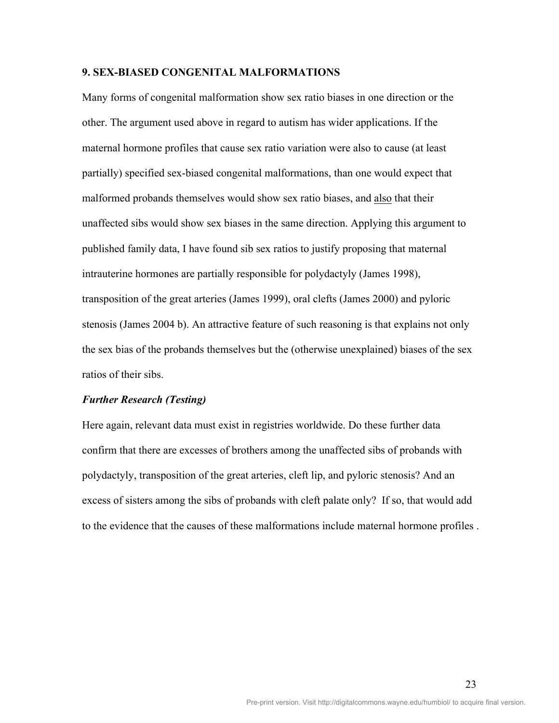#### **9. SEX-BIASED CONGENITAL MALFORMATIONS**

Many forms of congenital malformation show sex ratio biases in one direction or the other. The argument used above in regard to autism has wider applications. If the maternal hormone profiles that cause sex ratio variation were also to cause (at least partially) specified sex-biased congenital malformations, than one would expect that malformed probands themselves would show sex ratio biases, and also that their unaffected sibs would show sex biases in the same direction. Applying this argument to published family data, I have found sib sex ratios to justify proposing that maternal intrauterine hormones are partially responsible for polydactyly (James 1998), transposition of the great arteries (James 1999), oral clefts (James 2000) and pyloric stenosis (James 2004 b). An attractive feature of such reasoning is that explains not only the sex bias of the probands themselves but the (otherwise unexplained) biases of the sex ratios of their sibs.

#### *Further Research (Testing)*

Here again, relevant data must exist in registries worldwide. Do these further data confirm that there are excesses of brothers among the unaffected sibs of probands with polydactyly, transposition of the great arteries, cleft lip, and pyloric stenosis? And an excess of sisters among the sibs of probands with cleft palate only? If so, that would add to the evidence that the causes of these malformations include maternal hormone profiles .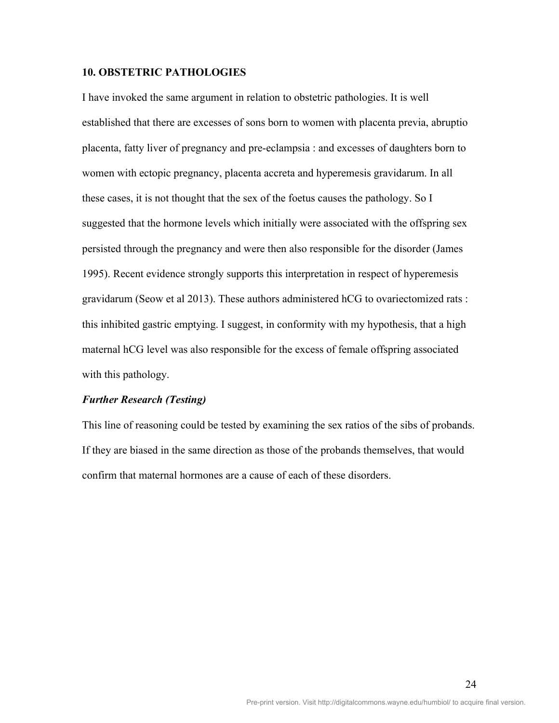# **10. OBSTETRIC PATHOLOGIES**

I have invoked the same argument in relation to obstetric pathologies. It is well established that there are excesses of sons born to women with placenta previa, abruptio placenta, fatty liver of pregnancy and pre-eclampsia : and excesses of daughters born to women with ectopic pregnancy, placenta accreta and hyperemesis gravidarum. In all these cases, it is not thought that the sex of the foetus causes the pathology. So I suggested that the hormone levels which initially were associated with the offspring sex persisted through the pregnancy and were then also responsible for the disorder (James 1995). Recent evidence strongly supports this interpretation in respect of hyperemesis gravidarum (Seow et al 2013). These authors administered hCG to ovariectomized rats : this inhibited gastric emptying. I suggest, in conformity with my hypothesis, that a high maternal hCG level was also responsible for the excess of female offspring associated with this pathology.

#### *Further Research (Testing)*

This line of reasoning could be tested by examining the sex ratios of the sibs of probands. If they are biased in the same direction as those of the probands themselves, that would confirm that maternal hormones are a cause of each of these disorders.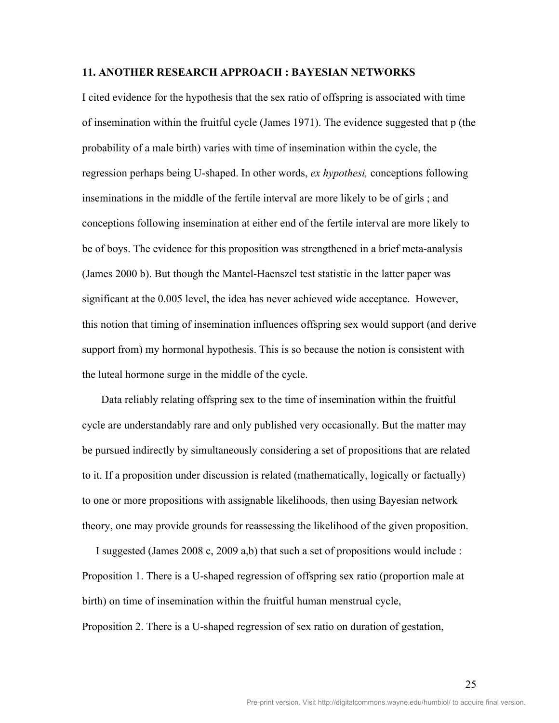#### **11. ANOTHER RESEARCH APPROACH : BAYESIAN NETWORKS**

I cited evidence for the hypothesis that the sex ratio of offspring is associated with time of insemination within the fruitful cycle (James 1971). The evidence suggested that p (the probability of a male birth) varies with time of insemination within the cycle, the regression perhaps being U-shaped. In other words, *ex hypothesi,* conceptions following inseminations in the middle of the fertile interval are more likely to be of girls ; and conceptions following insemination at either end of the fertile interval are more likely to be of boys. The evidence for this proposition was strengthened in a brief meta-analysis (James 2000 b). But though the Mantel-Haenszel test statistic in the latter paper was significant at the 0.005 level, the idea has never achieved wide acceptance. However, this notion that timing of insemination influences offspring sex would support (and derive support from) my hormonal hypothesis. This is so because the notion is consistent with the luteal hormone surge in the middle of the cycle.

 Data reliably relating offspring sex to the time of insemination within the fruitful cycle are understandably rare and only published very occasionally. But the matter may be pursued indirectly by simultaneously considering a set of propositions that are related to it. If a proposition under discussion is related (mathematically, logically or factually) to one or more propositions with assignable likelihoods, then using Bayesian network theory, one may provide grounds for reassessing the likelihood of the given proposition.

 I suggested (James 2008 c, 2009 a,b) that such a set of propositions would include : Proposition 1. There is a U-shaped regression of offspring sex ratio (proportion male at birth) on time of insemination within the fruitful human menstrual cycle, Proposition 2. There is a U-shaped regression of sex ratio on duration of gestation,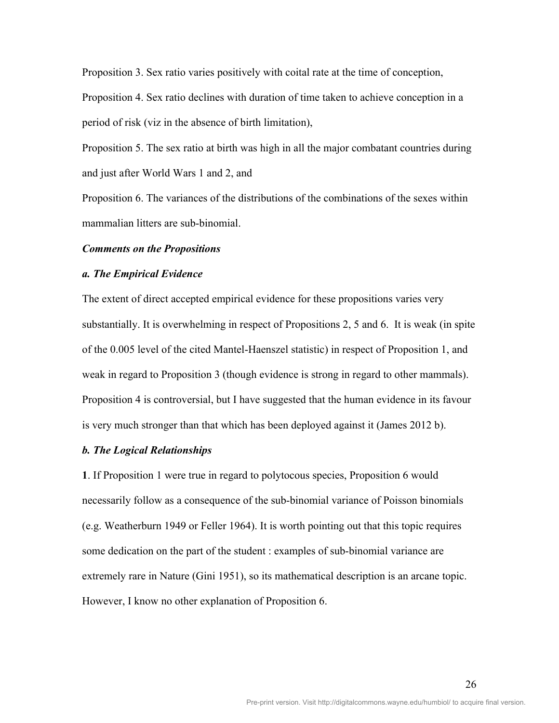Proposition 3. Sex ratio varies positively with coital rate at the time of conception, Proposition 4. Sex ratio declines with duration of time taken to achieve conception in a period of risk (viz in the absence of birth limitation),

Proposition 5. The sex ratio at birth was high in all the major combatant countries during and just after World Wars 1 and 2, and

Proposition 6. The variances of the distributions of the combinations of the sexes within mammalian litters are sub-binomial.

#### *Comments on the Propositions*

#### *a. The Empirical Evidence*

The extent of direct accepted empirical evidence for these propositions varies very substantially. It is overwhelming in respect of Propositions 2, 5 and 6. It is weak (in spite of the 0.005 level of the cited Mantel-Haenszel statistic) in respect of Proposition 1, and weak in regard to Proposition 3 (though evidence is strong in regard to other mammals). Proposition 4 is controversial, but I have suggested that the human evidence in its favour is very much stronger than that which has been deployed against it (James 2012 b).

# *b. The Logical Relationships*

**1**. If Proposition 1 were true in regard to polytocous species, Proposition 6 would necessarily follow as a consequence of the sub-binomial variance of Poisson binomials (e.g. Weatherburn 1949 or Feller 1964). It is worth pointing out that this topic requires some dedication on the part of the student : examples of sub-binomial variance are extremely rare in Nature (Gini 1951), so its mathematical description is an arcane topic. However, I know no other explanation of Proposition 6.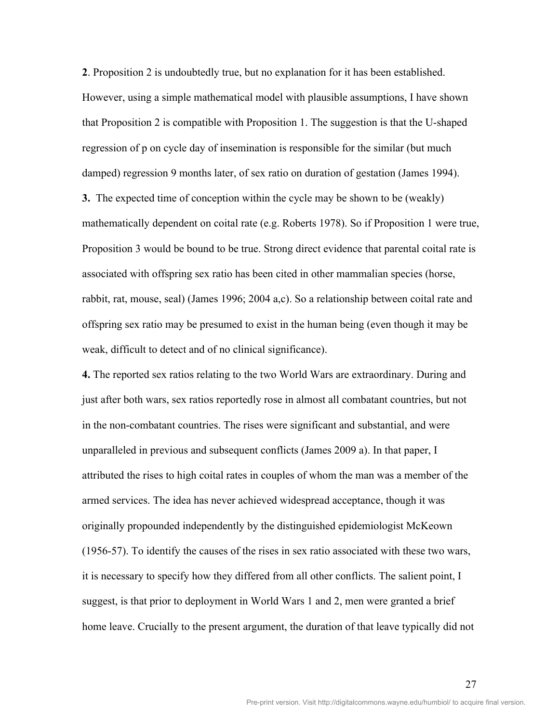**2**. Proposition 2 is undoubtedly true, but no explanation for it has been established. However, using a simple mathematical model with plausible assumptions, I have shown that Proposition 2 is compatible with Proposition 1. The suggestion is that the U-shaped regression of p on cycle day of insemination is responsible for the similar (but much damped) regression 9 months later, of sex ratio on duration of gestation (James 1994).

**3.** The expected time of conception within the cycle may be shown to be (weakly) mathematically dependent on coital rate (e.g. Roberts 1978). So if Proposition 1 were true, Proposition 3 would be bound to be true. Strong direct evidence that parental coital rate is associated with offspring sex ratio has been cited in other mammalian species (horse, rabbit, rat, mouse, seal) (James 1996; 2004 a,c). So a relationship between coital rate and offspring sex ratio may be presumed to exist in the human being (even though it may be weak, difficult to detect and of no clinical significance).

**4.** The reported sex ratios relating to the two World Wars are extraordinary. During and just after both wars, sex ratios reportedly rose in almost all combatant countries, but not in the non-combatant countries. The rises were significant and substantial, and were unparalleled in previous and subsequent conflicts (James 2009 a). In that paper, I attributed the rises to high coital rates in couples of whom the man was a member of the armed services. The idea has never achieved widespread acceptance, though it was originally propounded independently by the distinguished epidemiologist McKeown (1956-57). To identify the causes of the rises in sex ratio associated with these two wars, it is necessary to specify how they differed from all other conflicts. The salient point, I suggest, is that prior to deployment in World Wars 1 and 2, men were granted a brief home leave. Crucially to the present argument, the duration of that leave typically did not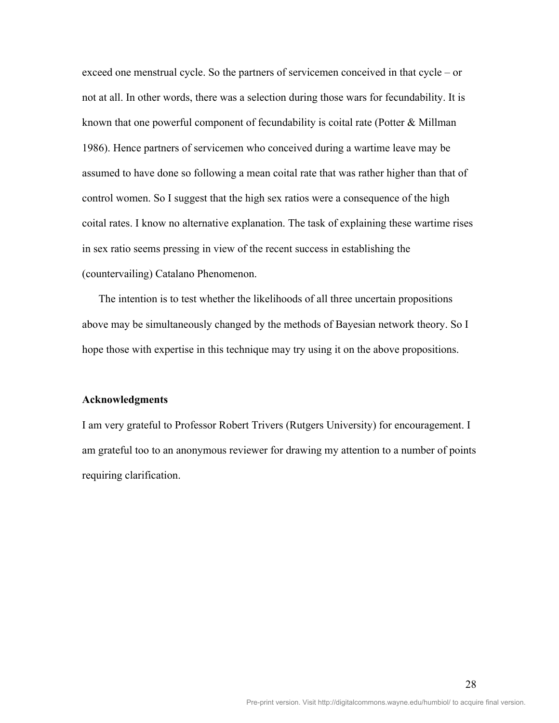exceed one menstrual cycle. So the partners of servicemen conceived in that cycle – or not at all. In other words, there was a selection during those wars for fecundability. It is known that one powerful component of fecundability is coital rate (Potter & Millman 1986). Hence partners of servicemen who conceived during a wartime leave may be assumed to have done so following a mean coital rate that was rather higher than that of control women. So I suggest that the high sex ratios were a consequence of the high coital rates. I know no alternative explanation. The task of explaining these wartime rises in sex ratio seems pressing in view of the recent success in establishing the (countervailing) Catalano Phenomenon.

 The intention is to test whether the likelihoods of all three uncertain propositions above may be simultaneously changed by the methods of Bayesian network theory. So I hope those with expertise in this technique may try using it on the above propositions.

#### **Acknowledgments**

I am very grateful to Professor Robert Trivers (Rutgers University) for encouragement. I am grateful too to an anonymous reviewer for drawing my attention to a number of points requiring clarification.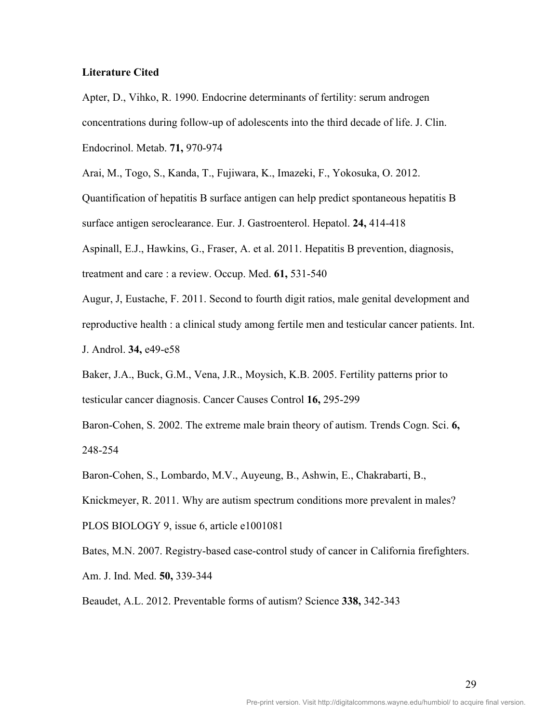#### **Literature Cited**

Apter, D., Vihko, R. 1990. Endocrine determinants of fertility: serum androgen concentrations during follow-up of adolescents into the third decade of life. J. Clin. Endocrinol. Metab. **71,** 970-974

Arai, M., Togo, S., Kanda, T., Fujiwara, K., Imazeki, F., Yokosuka, O. 2012.

Quantification of hepatitis B surface antigen can help predict spontaneous hepatitis B surface antigen seroclearance. Eur. J. Gastroenterol. Hepatol. **24,** 414-418

Aspinall, E.J., Hawkins, G., Fraser, A. et al. 2011. Hepatitis B prevention, diagnosis, treatment and care : a review. Occup. Med. **61,** 531-540

Augur, J, Eustache, F. 2011. Second to fourth digit ratios, male genital development and reproductive health : a clinical study among fertile men and testicular cancer patients. Int. J. Androl. **34,** e49-e58

Baker, J.A., Buck, G.M., Vena, J.R., Moysich, K.B. 2005. Fertility patterns prior to testicular cancer diagnosis. Cancer Causes Control **16,** 295-299

Baron-Cohen, S. 2002. The extreme male brain theory of autism. Trends Cogn. Sci. **6,**  248-254

Baron-Cohen, S., Lombardo, M.V., Auyeung, B., Ashwin, E., Chakrabarti, B.,

Knickmeyer, R. 2011. Why are autism spectrum conditions more prevalent in males?

PLOS BIOLOGY 9, issue 6, article e1001081

Bates, M.N. 2007. Registry-based case-control study of cancer in California firefighters.

Am. J. Ind. Med. **50,** 339-344

Beaudet, A.L. 2012. Preventable forms of autism? Science **338,** 342-343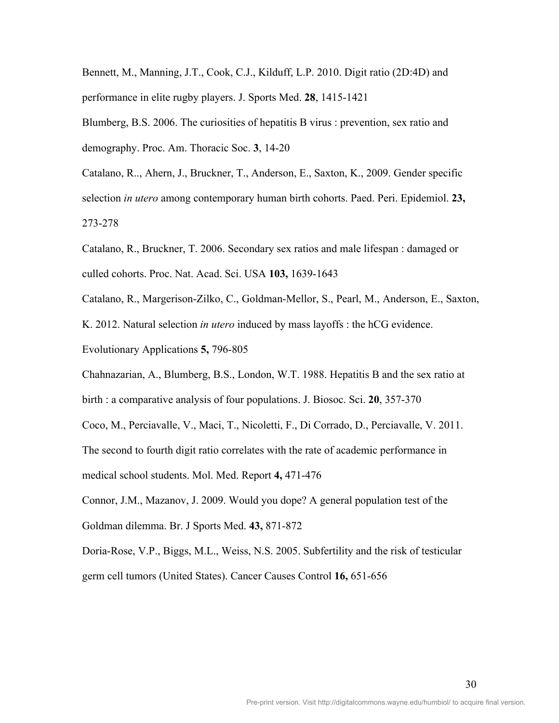Bennett, M., Manning, J.T., Cook, C.J., Kilduff, L.P. 2010. Digit ratio (2D:4D) and performance in elite rugby players. J. Sports Med. **28**, 1415-1421

Blumberg, B.S. 2006. The curiosities of hepatitis B virus : prevention, sex ratio and demography. Proc. Am. Thoracic Soc. **3**, 14-20

Catalano, R.., Ahern, J., Bruckner, T., Anderson, E., Saxton, K., 2009. Gender specific selection *in utero* among contemporary human birth cohorts. Paed. Peri. Epidemiol. **23,**  273-278

Catalano, R., Bruckner, T. 2006. Secondary sex ratios and male lifespan : damaged or culled cohorts. Proc. Nat. Acad. Sci. USA **103,** 1639-1643

Catalano, R., Margerison-Zilko, C., Goldman-Mellor, S., Pearl, M., Anderson, E., Saxton,

K. 2012. Natural selection *in utero* induced by mass layoffs : the hCG evidence.

Evolutionary Applications **5,** 796-805

Chahnazarian, A., Blumberg, B.S., London, W.T. 1988. Hepatitis B and the sex ratio at birth : a comparative analysis of four populations. J. Biosoc. Sci. **20**, 357-370

Coco, M., Perciavalle, V., Maci, T., Nicoletti, F., Di Corrado, D., Perciavalle, V. 2011.

The second to fourth digit ratio correlates with the rate of academic performance in

medical school students. Mol. Med. Report **4,** 471-476

Connor, J.M., Mazanov, J. 2009. Would you dope? A general population test of the Goldman dilemma. Br. J Sports Med. **43,** 871-872

Doria-Rose, V.P., Biggs, M.L., Weiss, N.S. 2005. Subfertility and the risk of testicular germ cell tumors (United States). Cancer Causes Control **16,** 651-656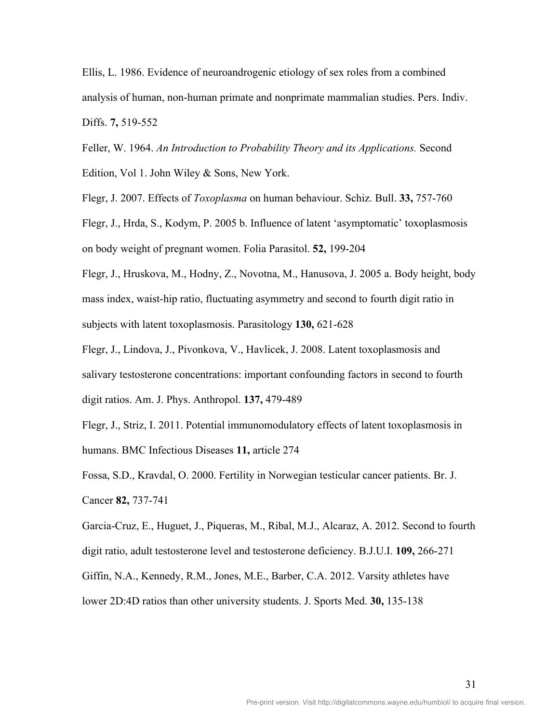Ellis, L. 1986. Evidence of neuroandrogenic etiology of sex roles from a combined analysis of human, non-human primate and nonprimate mammalian studies. Pers. Indiv. Diffs. **7,** 519-552

Feller, W. 1964. *An Introduction to Probability Theory and its Applications.* Second Edition, Vol 1. John Wiley & Sons, New York.

Flegr, J. 2007. Effects of *Toxoplasma* on human behaviour. Schiz. Bull. **33,** 757-760

Flegr, J., Hrda, S., Kodym, P. 2005 b. Influence of latent 'asymptomatic' toxoplasmosis on body weight of pregnant women. Folia Parasitol. **52,** 199-204

Flegr, J., Hruskova, M., Hodny, Z., Novotna, M., Hanusova, J. 2005 a. Body height, body mass index, waist-hip ratio, fluctuating asymmetry and second to fourth digit ratio in subjects with latent toxoplasmosis. Parasitology **130,** 621-628

Flegr, J., Lindova, J., Pivonkova, V., Havlicek, J. 2008. Latent toxoplasmosis and salivary testosterone concentrations: important confounding factors in second to fourth digit ratios. Am. J. Phys. Anthropol. **137,** 479-489

Flegr, J., Striz, I. 2011. Potential immunomodulatory effects of latent toxoplasmosis in humans. BMC Infectious Diseases **11,** article 274

Fossa, S.D., Kravdal, O. 2000. Fertility in Norwegian testicular cancer patients. Br. J. Cancer **82,** 737-741

Garcia-Cruz, E., Huguet, J., Piqueras, M., Ribal, M.J., Alcaraz, A. 2012. Second to fourth digit ratio, adult testosterone level and testosterone deficiency. B.J.U.I. **109,** 266-271 Giffin, N.A., Kennedy, R.M., Jones, M.E., Barber, C.A. 2012. Varsity athletes have lower 2D:4D ratios than other university students. J. Sports Med. **30,** 135-138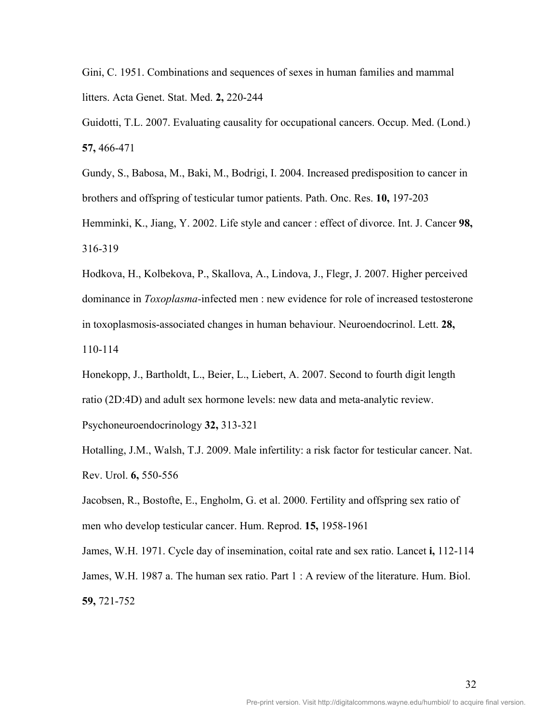Gini, C. 1951. Combinations and sequences of sexes in human families and mammal litters. Acta Genet. Stat. Med. **2,** 220-244

Guidotti, T.L. 2007. Evaluating causality for occupational cancers. Occup. Med. (Lond.) **57,** 466-471

Gundy, S., Babosa, M., Baki, M., Bodrigi, I. 2004. Increased predisposition to cancer in brothers and offspring of testicular tumor patients. Path. Onc. Res. **10,** 197-203

Hemminki, K., Jiang, Y. 2002. Life style and cancer : effect of divorce. Int. J. Cancer **98,**  316-319

Hodkova, H., Kolbekova, P., Skallova, A., Lindova, J., Flegr, J. 2007. Higher perceived dominance in *Toxoplasma-*infected men : new evidence for role of increased testosterone in toxoplasmosis-associated changes in human behaviour. Neuroendocrinol. Lett. **28,**  110-114

Honekopp, J., Bartholdt, L., Beier, L., Liebert, A. 2007. Second to fourth digit length ratio (2D:4D) and adult sex hormone levels: new data and meta-analytic review. Psychoneuroendocrinology **32,** 313-321

Hotalling, J.M., Walsh, T.J. 2009. Male infertility: a risk factor for testicular cancer. Nat. Rev. Urol. **6,** 550-556

Jacobsen, R., Bostofte, E., Engholm, G. et al. 2000. Fertility and offspring sex ratio of men who develop testicular cancer. Hum. Reprod. **15,** 1958-1961

James, W.H. 1971. Cycle day of insemination, coital rate and sex ratio. Lancet **i,** 112-114 James, W.H. 1987 a. The human sex ratio. Part 1 : A review of the literature. Hum. Biol. **59,** 721-752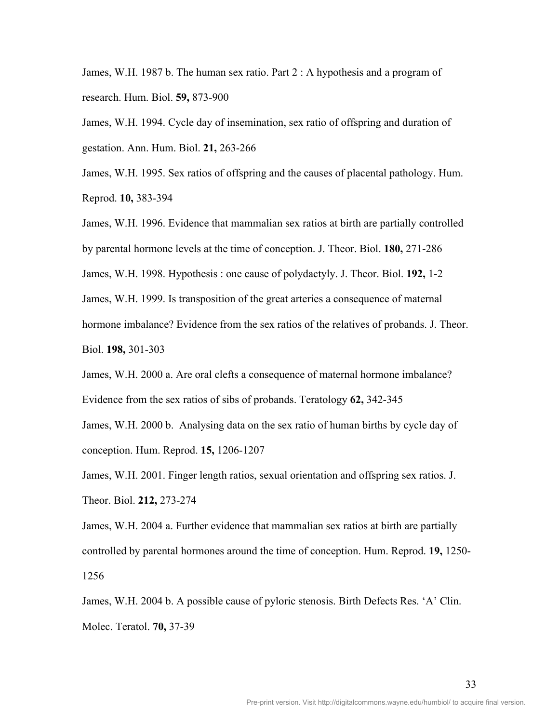James, W.H. 1987 b. The human sex ratio. Part 2 : A hypothesis and a program of research. Hum. Biol. **59,** 873-900

James, W.H. 1994. Cycle day of insemination, sex ratio of offspring and duration of gestation. Ann. Hum. Biol. **21,** 263-266

James, W.H. 1995. Sex ratios of offspring and the causes of placental pathology. Hum. Reprod. **10,** 383-394

James, W.H. 1996. Evidence that mammalian sex ratios at birth are partially controlled by parental hormone levels at the time of conception. J. Theor. Biol. **180,** 271-286

James, W.H. 1998. Hypothesis : one cause of polydactyly. J. Theor. Biol. **192,** 1-2

James, W.H. 1999. Is transposition of the great arteries a consequence of maternal

hormone imbalance? Evidence from the sex ratios of the relatives of probands. J. Theor.

Biol. **198,** 301-303

James, W.H. 2000 a. Are oral clefts a consequence of maternal hormone imbalance? Evidence from the sex ratios of sibs of probands. Teratology **62,** 342-345

James, W.H. 2000 b. Analysing data on the sex ratio of human births by cycle day of conception. Hum. Reprod. **15,** 1206-1207

James, W.H. 2001. Finger length ratios, sexual orientation and offspring sex ratios. J. Theor. Biol. **212,** 273-274

James, W.H. 2004 a. Further evidence that mammalian sex ratios at birth are partially controlled by parental hormones around the time of conception. Hum. Reprod. **19,** 1250- 1256

James, W.H. 2004 b. A possible cause of pyloric stenosis. Birth Defects Res. 'A' Clin. Molec. Teratol. **70,** 37-39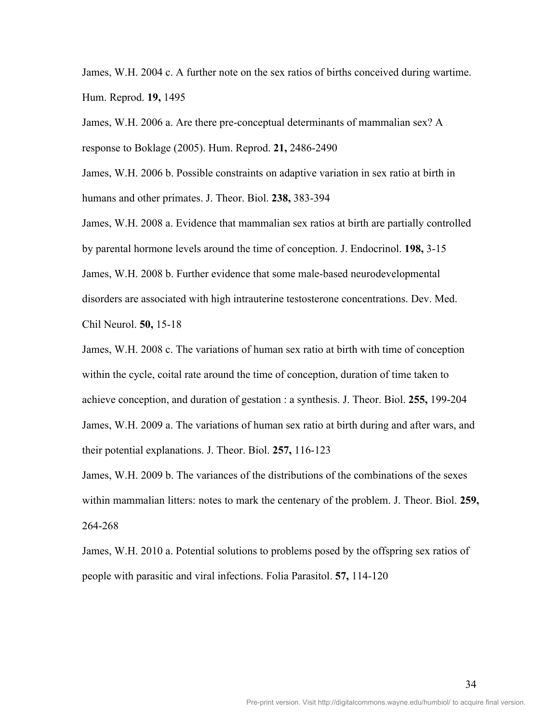James, W.H. 2004 c. A further note on the sex ratios of births conceived during wartime. Hum. Reprod. **19,** 1495

James, W.H. 2006 a. Are there pre-conceptual determinants of mammalian sex? A response to Boklage (2005). Hum. Reprod. **21,** 2486-2490

James, W.H. 2006 b. Possible constraints on adaptive variation in sex ratio at birth in humans and other primates. J. Theor. Biol. **238,** 383-394

James, W.H. 2008 a. Evidence that mammalian sex ratios at birth are partially controlled by parental hormone levels around the time of conception. J. Endocrinol. **198,** 3-15 James, W.H. 2008 b. Further evidence that some male-based neurodevelopmental disorders are associated with high intrauterine testosterone concentrations. Dev. Med. Chil Neurol. **50,** 15-18

James, W.H. 2008 c. The variations of human sex ratio at birth with time of conception within the cycle, coital rate around the time of conception, duration of time taken to achieve conception, and duration of gestation : a synthesis. J. Theor. Biol. **255,** 199-204 James, W.H. 2009 a. The variations of human sex ratio at birth during and after wars, and their potential explanations. J. Theor. Biol. **257,** 116-123

James, W.H. 2009 b. The variances of the distributions of the combinations of the sexes within mammalian litters: notes to mark the centenary of the problem. J. Theor. Biol. **259,**  264-268

James, W.H. 2010 a. Potential solutions to problems posed by the offspring sex ratios of people with parasitic and viral infections. Folia Parasitol. **57,** 114-120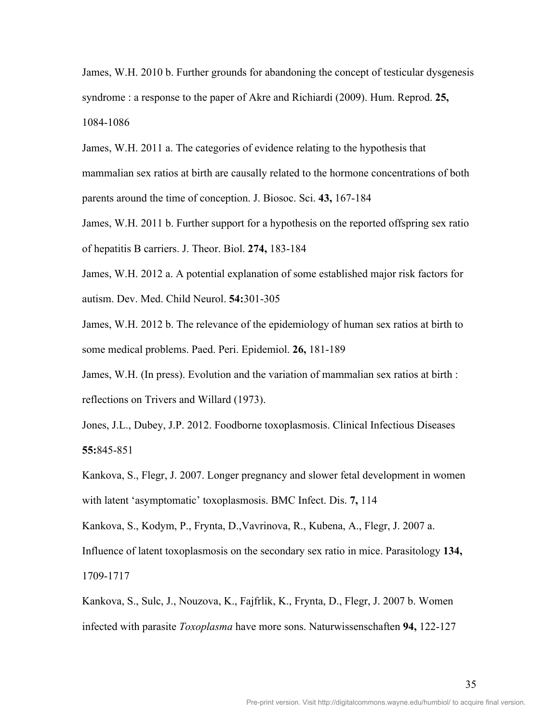James, W.H. 2010 b. Further grounds for abandoning the concept of testicular dysgenesis syndrome : a response to the paper of Akre and Richiardi (2009). Hum. Reprod. **25,**  1084-1086

James, W.H. 2011 a. The categories of evidence relating to the hypothesis that mammalian sex ratios at birth are causally related to the hormone concentrations of both parents around the time of conception. J. Biosoc. Sci. **43,** 167-184

James, W.H. 2011 b. Further support for a hypothesis on the reported offspring sex ratio of hepatitis B carriers. J. Theor. Biol. **274,** 183-184

James, W.H. 2012 a. A potential explanation of some established major risk factors for autism. Dev. Med. Child Neurol. **54:**301-305

James, W.H. 2012 b. The relevance of the epidemiology of human sex ratios at birth to some medical problems. Paed. Peri. Epidemiol. **26,** 181-189

James, W.H. (In press). Evolution and the variation of mammalian sex ratios at birth : reflections on Trivers and Willard (1973).

Jones, J.L., Dubey, J.P. 2012. Foodborne toxoplasmosis. Clinical Infectious Diseases **55:**845-851

Kankova, S., Flegr, J. 2007. Longer pregnancy and slower fetal development in women with latent 'asymptomatic' toxoplasmosis. BMC Infect. Dis. **7,** 114

Kankova, S., Kodym, P., Frynta, D.,Vavrinova, R., Kubena, A., Flegr, J. 2007 a.

Influence of latent toxoplasmosis on the secondary sex ratio in mice. Parasitology **134,**  1709-1717

Kankova, S., Sulc, J., Nouzova, K., Fajfrlik, K., Frynta, D., Flegr, J. 2007 b. Women infected with parasite *Toxoplasma* have more sons. Naturwissenschaften **94,** 122-127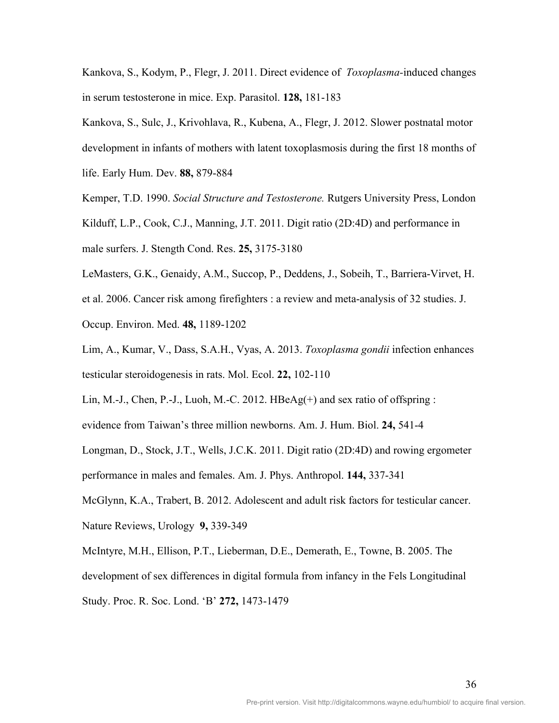Kankova, S., Kodym, P., Flegr, J. 2011. Direct evidence of *Toxoplasma-*induced changes in serum testosterone in mice. Exp. Parasitol. **128,** 181-183

Kankova, S., Sulc, J., Krivohlava, R., Kubena, A., Flegr, J. 2012. Slower postnatal motor development in infants of mothers with latent toxoplasmosis during the first 18 months of life. Early Hum. Dev. **88,** 879-884

Kemper, T.D. 1990. *Social Structure and Testosterone.* Rutgers University Press, London

Kilduff, L.P., Cook, C.J., Manning, J.T. 2011. Digit ratio (2D:4D) and performance in

male surfers. J. Stength Cond. Res. **25,** 3175-3180

LeMasters, G.K., Genaidy, A.M., Succop, P., Deddens, J., Sobeih, T., Barriera-Virvet, H.

et al. 2006. Cancer risk among firefighters : a review and meta-analysis of 32 studies. J.

Occup. Environ. Med. **48,** 1189-1202

Lim, A., Kumar, V., Dass, S.A.H., Vyas, A. 2013. *Toxoplasma gondii* infection enhances testicular steroidogenesis in rats. Mol. Ecol. **22,** 102-110

Lin, M.-J., Chen, P.-J., Luoh, M.-C. 2012.  $HBeAg(+)$  and sex ratio of offspring :

evidence from Taiwan's three million newborns. Am. J. Hum. Biol. **24,** 541-4

Longman, D., Stock, J.T., Wells, J.C.K. 2011. Digit ratio (2D:4D) and rowing ergometer

performance in males and females. Am. J. Phys. Anthropol. **144,** 337-341

McGlynn, K.A., Trabert, B. 2012. Adolescent and adult risk factors for testicular cancer. Nature Reviews, Urology **9,** 339-349

McIntyre, M.H., Ellison, P.T., Lieberman, D.E., Demerath, E., Towne, B. 2005. The development of sex differences in digital formula from infancy in the Fels Longitudinal Study. Proc. R. Soc. Lond. 'B' **272,** 1473-1479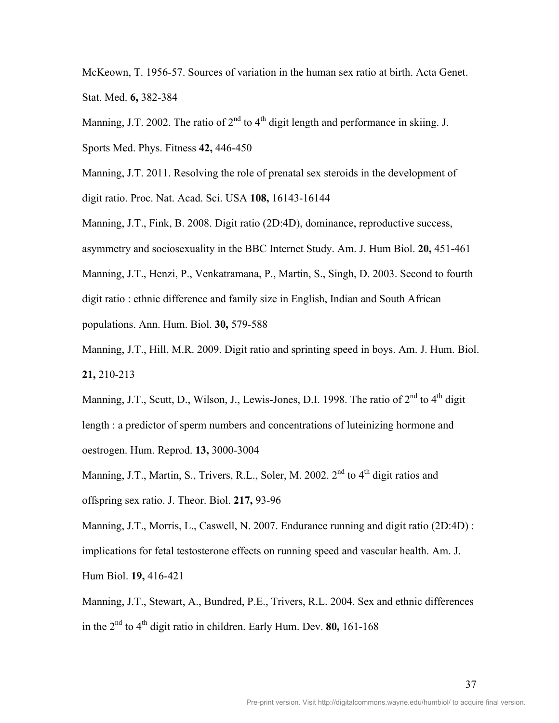McKeown, T. 1956-57. Sources of variation in the human sex ratio at birth. Acta Genet. Stat. Med. **6,** 382-384

Manning, J.T. 2002. The ratio of  $2<sup>nd</sup>$  to  $4<sup>th</sup>$  digit length and performance in skiing. J.

Sports Med. Phys. Fitness **42,** 446-450

Manning, J.T. 2011. Resolving the role of prenatal sex steroids in the development of digit ratio. Proc. Nat. Acad. Sci. USA **108,** 16143-16144

Manning, J.T., Fink, B. 2008. Digit ratio (2D:4D), dominance, reproductive success, asymmetry and sociosexuality in the BBC Internet Study. Am. J. Hum Biol. **20,** 451-461 Manning, J.T., Henzi, P., Venkatramana, P., Martin, S., Singh, D. 2003. Second to fourth digit ratio : ethnic difference and family size in English, Indian and South African

populations. Ann. Hum. Biol. **30,** 579-588

Manning, J.T., Hill, M.R. 2009. Digit ratio and sprinting speed in boys. Am. J. Hum. Biol. **21,** 210-213

Manning, J.T., Scutt, D., Wilson, J., Lewis-Jones, D.I. 1998. The ratio of  $2<sup>nd</sup>$  to  $4<sup>th</sup>$  digit length : a predictor of sperm numbers and concentrations of luteinizing hormone and oestrogen. Hum. Reprod. **13,** 3000-3004

Manning, J.T., Martin, S., Trivers, R.L., Soler, M. 2002. 2<sup>nd</sup> to 4<sup>th</sup> digit ratios and offspring sex ratio. J. Theor. Biol. **217,** 93-96

Manning, J.T., Morris, L., Caswell, N. 2007. Endurance running and digit ratio (2D:4D) : implications for fetal testosterone effects on running speed and vascular health. Am. J. Hum Biol. **19,** 416-421

Manning, J.T., Stewart, A., Bundred, P.E., Trivers, R.L. 2004. Sex and ethnic differences in the  $2<sup>nd</sup>$  to  $4<sup>th</sup>$  digit ratio in children. Early Hum. Dev. **80,** 161-168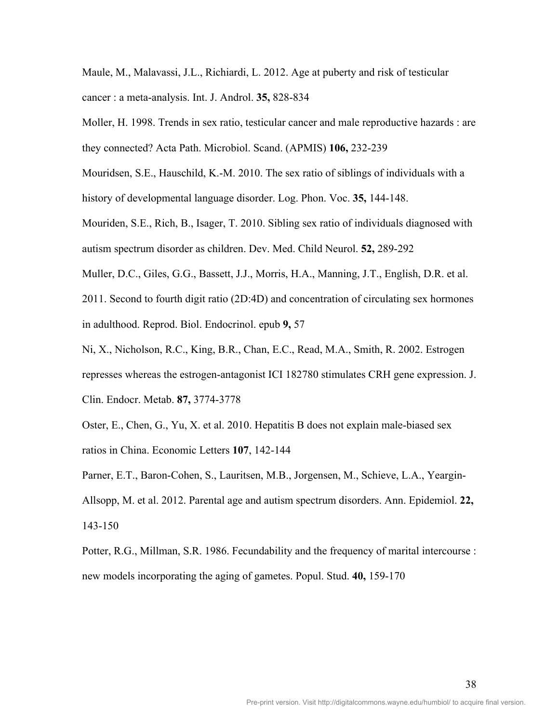Maule, M., Malavassi, J.L., Richiardi, L. 2012. Age at puberty and risk of testicular cancer : a meta-analysis. Int. J. Androl. **35,** 828-834

Moller, H. 1998. Trends in sex ratio, testicular cancer and male reproductive hazards : are they connected? Acta Path. Microbiol. Scand. (APMIS) **106,** 232-239

Mouridsen, S.E., Hauschild, K.-M. 2010. The sex ratio of siblings of individuals with a history of developmental language disorder. Log. Phon. Voc. **35,** 144-148.

Mouriden, S.E., Rich, B., Isager, T. 2010. Sibling sex ratio of individuals diagnosed with autism spectrum disorder as children. Dev. Med. Child Neurol. **52,** 289-292

Muller, D.C., Giles, G.G., Bassett, J.J., Morris, H.A., Manning, J.T., English, D.R. et al.

2011. Second to fourth digit ratio (2D:4D) and concentration of circulating sex hormones in adulthood. Reprod. Biol. Endocrinol. epub **9,** 57

Ni, X., Nicholson, R.C., King, B.R., Chan, E.C., Read, M.A., Smith, R. 2002. Estrogen represses whereas the estrogen-antagonist ICI 182780 stimulates CRH gene expression. J. Clin. Endocr. Metab. **87,** 3774-3778

Oster, E., Chen, G., Yu, X. et al. 2010. Hepatitis B does not explain male-biased sex ratios in China. Economic Letters **107**, 142-144

Parner, E.T., Baron-Cohen, S., Lauritsen, M.B., Jorgensen, M., Schieve, L.A., Yeargin-Allsopp, M. et al. 2012. Parental age and autism spectrum disorders. Ann. Epidemiol. **22,**  143-150

Potter, R.G., Millman, S.R. 1986. Fecundability and the frequency of marital intercourse : new models incorporating the aging of gametes. Popul. Stud. **40,** 159-170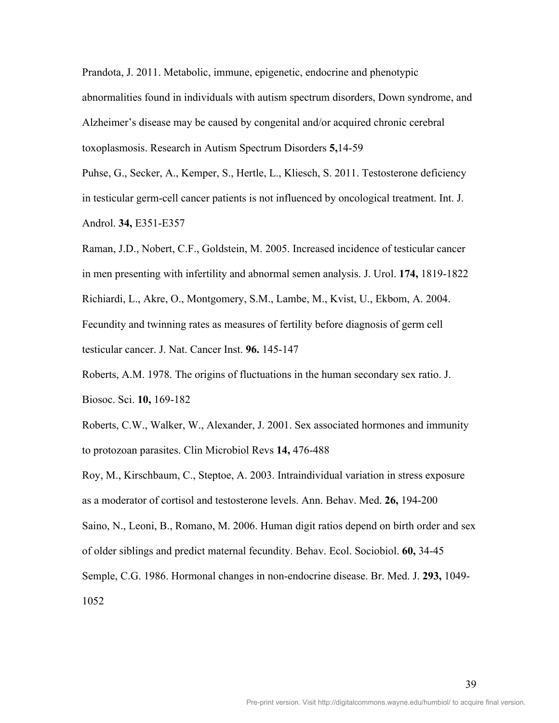Prandota, J. 2011. Metabolic, immune, epigenetic, endocrine and phenotypic abnormalities found in individuals with autism spectrum disorders, Down syndrome, and Alzheimer's disease may be caused by congenital and/or acquired chronic cerebral toxoplasmosis. Research in Autism Spectrum Disorders **5,**14-59

Puhse, G., Secker, A., Kemper, S., Hertle, L., Kliesch, S. 2011. Testosterone deficiency in testicular germ-cell cancer patients is not influenced by oncological treatment. Int. J. Androl. **34,** E351-E357

Raman, J.D., Nobert, C.F., Goldstein, M. 2005. Increased incidence of testicular cancer in men presenting with infertility and abnormal semen analysis. J. Urol. **174,** 1819-1822 Richiardi, L., Akre, O., Montgomery, S.M., Lambe, M., Kvist, U., Ekbom, A. 2004. Fecundity and twinning rates as measures of fertility before diagnosis of germ cell testicular cancer. J. Nat. Cancer Inst. **96.** 145-147

Roberts, A.M. 1978. The origins of fluctuations in the human secondary sex ratio. J. Biosoc. Sci. **10,** 169-182

Roberts, C.W., Walker, W., Alexander, J. 2001. Sex associated hormones and immunity to protozoan parasites. Clin Microbiol Revs **14,** 476-488

Roy, M., Kirschbaum, C., Steptoe, A. 2003. Intraindividual variation in stress exposure as a moderator of cortisol and testosterone levels. Ann. Behav. Med. **26,** 194-200 Saino, N., Leoni, B., Romano, M. 2006. Human digit ratios depend on birth order and sex of older siblings and predict maternal fecundity. Behav. Ecol. Sociobiol. **60,** 34-45 Semple, C.G. 1986. Hormonal changes in non-endocrine disease. Br. Med. J. **293,** 1049- 1052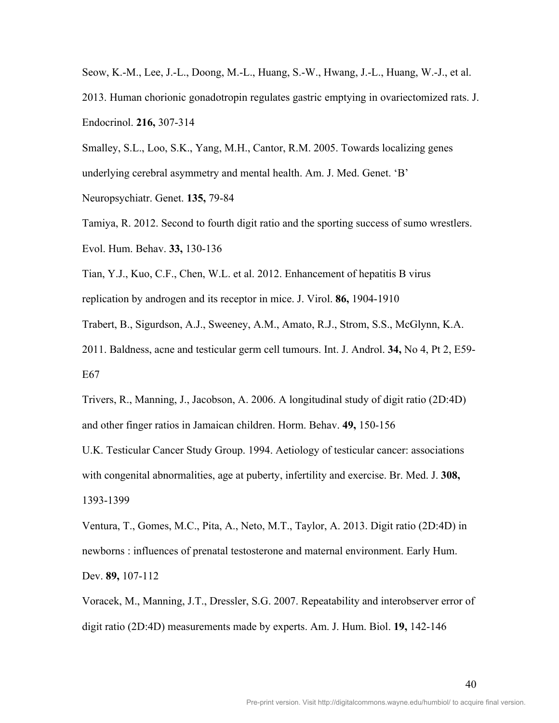Seow, K.-M., Lee, J.-L., Doong, M.-L., Huang, S.-W., Hwang, J.-L., Huang, W.-J., et al. 2013. Human chorionic gonadotropin regulates gastric emptying in ovariectomized rats. J. Endocrinol. **216,** 307-314

Smalley, S.L., Loo, S.K., Yang, M.H., Cantor, R.M. 2005. Towards localizing genes underlying cerebral asymmetry and mental health. Am. J. Med. Genet. 'B'

Neuropsychiatr. Genet. **135,** 79-84

Tamiya, R. 2012. Second to fourth digit ratio and the sporting success of sumo wrestlers. Evol. Hum. Behav. **33,** 130-136

Tian, Y.J., Kuo, C.F., Chen, W.L. et al. 2012. Enhancement of hepatitis B virus replication by androgen and its receptor in mice. J. Virol. **86,** 1904-1910

Trabert, B., Sigurdson, A.J., Sweeney, A.M., Amato, R.J., Strom, S.S., McGlynn, K.A.

2011. Baldness, acne and testicular germ cell tumours. Int. J. Androl. **34,** No 4, Pt 2, E59- E67

Trivers, R., Manning, J., Jacobson, A. 2006. A longitudinal study of digit ratio (2D:4D) and other finger ratios in Jamaican children. Horm. Behav. **49,** 150-156

U.K. Testicular Cancer Study Group. 1994. Aetiology of testicular cancer: associations with congenital abnormalities, age at puberty, infertility and exercise. Br. Med. J. **308,**  1393-1399

Ventura, T., Gomes, M.C., Pita, A., Neto, M.T., Taylor, A. 2013. Digit ratio (2D:4D) in newborns : influences of prenatal testosterone and maternal environment. Early Hum. Dev. **89,** 107-112

Voracek, M., Manning, J.T., Dressler, S.G. 2007. Repeatability and interobserver error of digit ratio (2D:4D) measurements made by experts. Am. J. Hum. Biol. **19,** 142-146